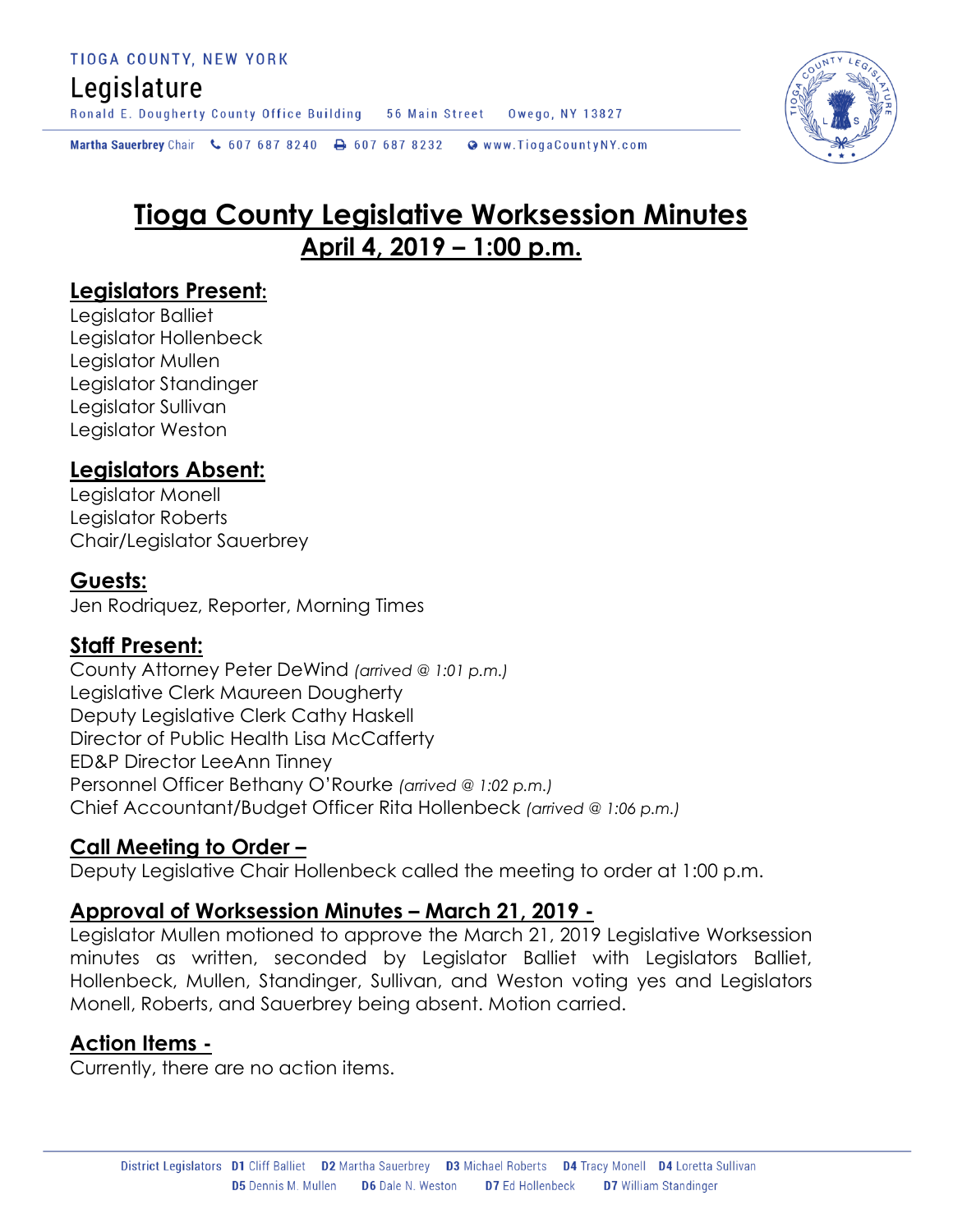# Legislature

Ronald E. Dougherty County Office Building 56 Main Street Owego, NY 13827

Martha Sauerbrey Chair & 607 687 8240 <a>B</a>607 687 8232 <a>B</a>Www.TiogaCountyNY.com

# **Tioga County Legislative Worksession Minutes April 4, 2019 – 1:00 p.m.**

# **Legislators Present:**

Legislator Balliet Legislator Hollenbeck Legislator Mullen Legislator Standinger Legislator Sullivan Legislator Weston

# **Legislators Absent:**

Legislator Monell Legislator Roberts Chair/Legislator Sauerbrey

# **Guests:**

Jen Rodriquez, Reporter, Morning Times

# **Staff Present:**

County Attorney Peter DeWind *(arrived @ 1:01 p.m.)* Legislative Clerk Maureen Dougherty Deputy Legislative Clerk Cathy Haskell Director of Public Health Lisa McCafferty ED&P Director LeeAnn Tinney Personnel Officer Bethany O'Rourke *(arrived @ 1:02 p.m.)* Chief Accountant/Budget Officer Rita Hollenbeck *(arrived @ 1:06 p.m.)*

# **Call Meeting to Order –**

Deputy Legislative Chair Hollenbeck called the meeting to order at 1:00 p.m.

# **Approval of Worksession Minutes – March 21, 2019 -**

Legislator Mullen motioned to approve the March 21, 2019 Legislative Worksession minutes as written, seconded by Legislator Balliet with Legislators Balliet, Hollenbeck, Mullen, Standinger, Sullivan, and Weston voting yes and Legislators Monell, Roberts, and Sauerbrey being absent. Motion carried.

# **Action Items -**

Currently, there are no action items.

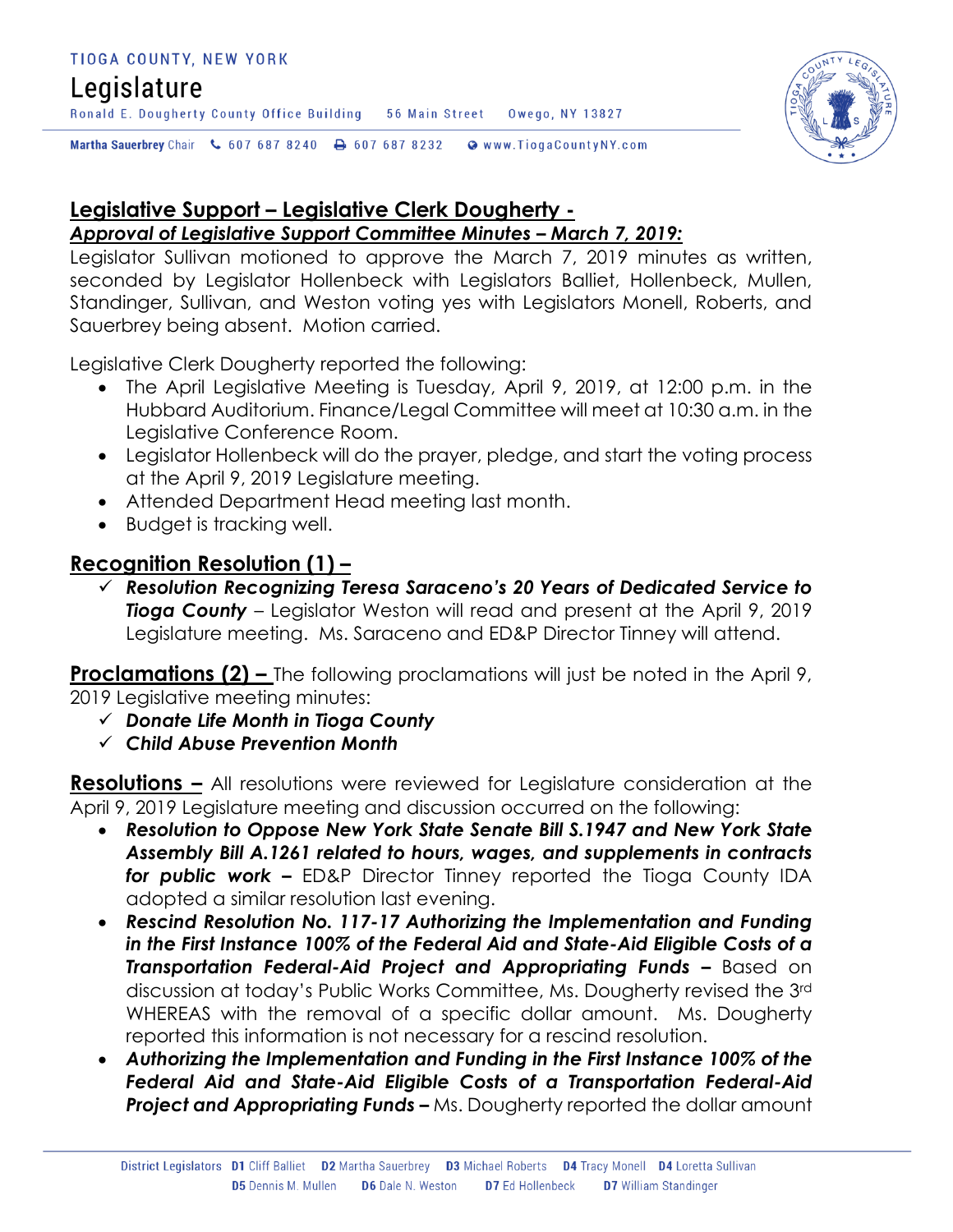### TIOGA COUNTY, NEW YORK

# Legislature

Ronald E. Dougherty County Office Building 56 Main Street 0wego, NY 13827

Martha Sauerbrey Chair & 607 687 8240 A 607 687 8232 @ www.TiogaCountyNY.com

# **Legislative Support – Legislative Clerk Dougherty -**

# *Approval of Legislative Support Committee Minutes – March 7, 2019:*

Legislator Sullivan motioned to approve the March 7, 2019 minutes as written, seconded by Legislator Hollenbeck with Legislators Balliet, Hollenbeck, Mullen, Standinger, Sullivan, and Weston voting yes with Legislators Monell, Roberts, and Sauerbrey being absent. Motion carried.

Legislative Clerk Dougherty reported the following:

- The April Legislative Meeting is Tuesday, April 9, 2019, at 12:00 p.m. in the Hubbard Auditorium. Finance/Legal Committee will meet at 10:30 a.m. in the Legislative Conference Room.
- Legislator Hollenbeck will do the prayer, pledge, and start the voting process at the April 9, 2019 Legislature meeting.
- Attended Department Head meeting last month.
- Budget is tracking well.

# **Recognition Resolution (1) –**

 *Resolution Recognizing Teresa Saraceno's 20 Years of Dedicated Service to Tioga County* – Legislator Weston will read and present at the April 9, 2019 Legislature meeting. Ms. Saraceno and ED&P Director Tinney will attend.

**Proclamations (2) –** The following proclamations will just be noted in the April 9, 2019 Legislative meeting minutes:

- *Donate Life Month in Tioga County*
- *Child Abuse Prevention Month*

**Resolutions –** All resolutions were reviewed for Legislature consideration at the April 9, 2019 Legislature meeting and discussion occurred on the following:

- *Resolution to Oppose New York State Senate Bill S.1947 and New York State Assembly Bill A.1261 related to hours, wages, and supplements in contracts for public work –* ED&P Director Tinney reported the Tioga County IDA adopted a similar resolution last evening.
- *Rescind Resolution No. 117-17 Authorizing the Implementation and Funding in the First Instance 100% of the Federal Aid and State-Aid Eligible Costs of a*  **Transportation Federal-Aid Project and Appropriating Funds - Based on** discussion at today's Public Works Committee, Ms. Dougherty revised the 3rd WHEREAS with the removal of a specific dollar amount. Ms. Dougherty reported this information is not necessary for a rescind resolution.
- *Authorizing the Implementation and Funding in the First Instance 100% of the Federal Aid and State-Aid Eligible Costs of a Transportation Federal-Aid*  **Project and Appropriating Funds –** Ms. Dougherty reported the dollar amount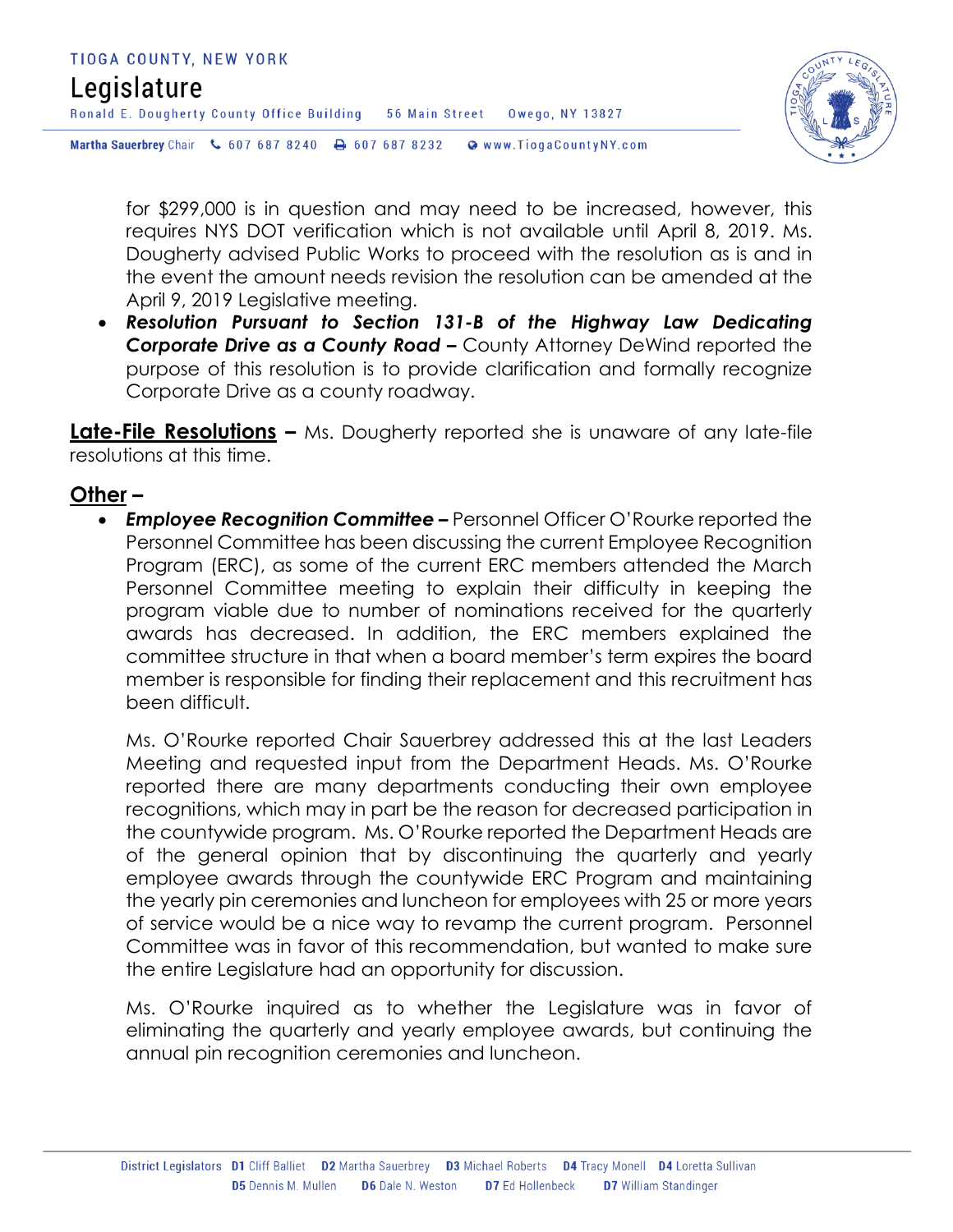

for \$299,000 is in question and may need to be increased, however, this requires NYS DOT verification which is not available until April 8, 2019. Ms. Dougherty advised Public Works to proceed with the resolution as is and in the event the amount needs revision the resolution can be amended at the April 9, 2019 Legislative meeting.

 *Resolution Pursuant to Section 131-B of the Highway Law Dedicating*  **Corporate Drive as a County Road –** County Attorney DeWind reported the purpose of this resolution is to provide clarification and formally recognize Corporate Drive as a county roadway.

**Late-File Resolutions –** Ms. Dougherty reported she is unaware of any late-file resolutions at this time.

# **Other –**

 *Employee Recognition Committee –* Personnel Officer O'Rourke reported the Personnel Committee has been discussing the current Employee Recognition Program (ERC), as some of the current ERC members attended the March Personnel Committee meeting to explain their difficulty in keeping the program viable due to number of nominations received for the quarterly awards has decreased. In addition, the ERC members explained the committee structure in that when a board member's term expires the board member is responsible for finding their replacement and this recruitment has been difficult.

Ms. O'Rourke reported Chair Sauerbrey addressed this at the last Leaders Meeting and requested input from the Department Heads. Ms. O'Rourke reported there are many departments conducting their own employee recognitions, which may in part be the reason for decreased participation in the countywide program. Ms. O'Rourke reported the Department Heads are of the general opinion that by discontinuing the quarterly and yearly employee awards through the countywide ERC Program and maintaining the yearly pin ceremonies and luncheon for employees with 25 or more years of service would be a nice way to revamp the current program. Personnel Committee was in favor of this recommendation, but wanted to make sure the entire Legislature had an opportunity for discussion.

Ms. O'Rourke inquired as to whether the Legislature was in favor of eliminating the quarterly and yearly employee awards, but continuing the annual pin recognition ceremonies and luncheon.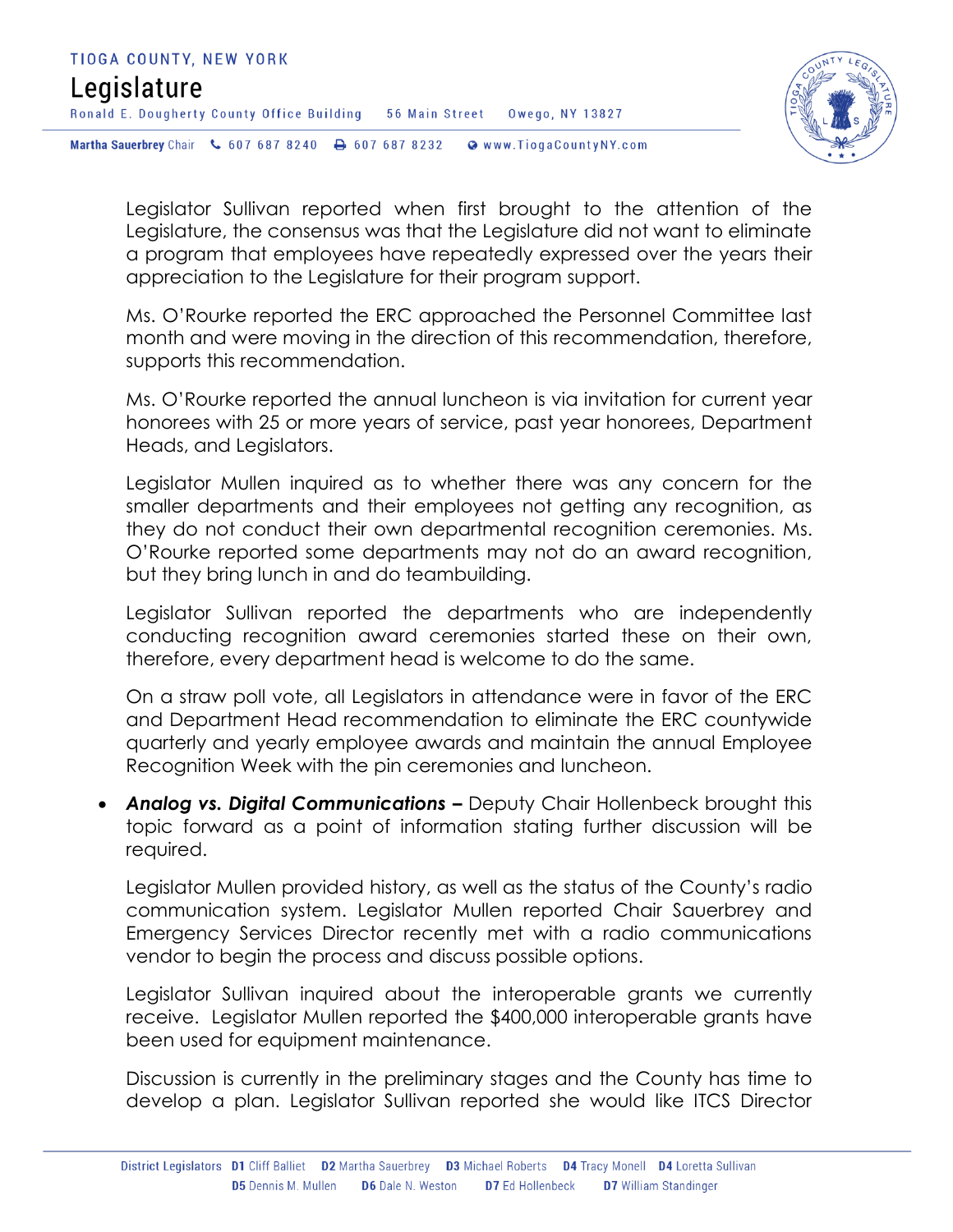

Legislator Sullivan reported when first brought to the attention of the Legislature, the consensus was that the Legislature did not want to eliminate a program that employees have repeatedly expressed over the years their appreciation to the Legislature for their program support.

Ms. O'Rourke reported the ERC approached the Personnel Committee last month and were moving in the direction of this recommendation, therefore, supports this recommendation.

Ms. O'Rourke reported the annual luncheon is via invitation for current year honorees with 25 or more years of service, past year honorees, Department Heads, and Legislators.

Legislator Mullen inquired as to whether there was any concern for the smaller departments and their employees not getting any recognition, as they do not conduct their own departmental recognition ceremonies. Ms. O'Rourke reported some departments may not do an award recognition, but they bring lunch in and do teambuilding.

Legislator Sullivan reported the departments who are independently conducting recognition award ceremonies started these on their own, therefore, every department head is welcome to do the same.

On a straw poll vote, all Legislators in attendance were in favor of the ERC and Department Head recommendation to eliminate the ERC countywide quarterly and yearly employee awards and maintain the annual Employee Recognition Week with the pin ceremonies and luncheon.

 *Analog vs. Digital Communications –* Deputy Chair Hollenbeck brought this topic forward as a point of information stating further discussion will be required.

Legislator Mullen provided history, as well as the status of the County's radio communication system. Legislator Mullen reported Chair Sauerbrey and Emergency Services Director recently met with a radio communications vendor to begin the process and discuss possible options.

Legislator Sullivan inquired about the interoperable grants we currently receive. Legislator Mullen reported the \$400,000 interoperable grants have been used for equipment maintenance.

Discussion is currently in the preliminary stages and the County has time to develop a plan. Legislator Sullivan reported she would like ITCS Director